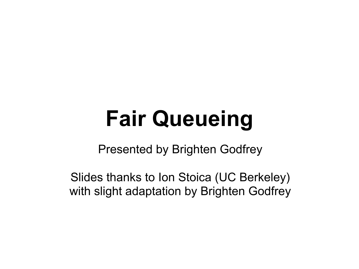# **Fair Queueing**

Presented by Brighten Godfrey

Slides thanks to Ion Stoica (UC Berkeley) with slight adaptation by Brighten Godfrey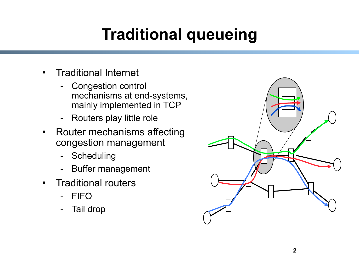## **Traditional queueing**

- Traditional Internet
	- Congestion control mechanisms at end-systems, mainly implemented in TCP
	- Routers play little role
- Router mechanisms affecting congestion management
	- Scheduling
	- Buffer management
- **Traditional routers** 
	- FIFO
	- Tail drop

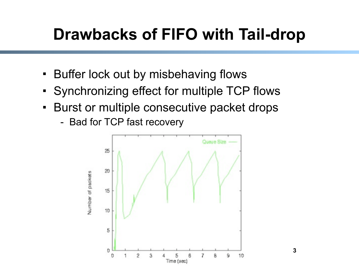## **Drawbacks of FIFO with Tail-drop**

- **Buffer lock out by misbehaving flows**
- Synchronizing effect for multiple TCP flows
- **Burst or multiple consecutive packet drops** 
	- Bad for TCP fast recovery



**3**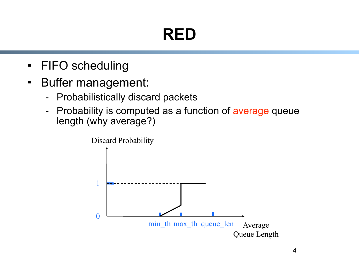## **RED**

- FIFO scheduling
- **Buffer management:** 
	- Probabilistically discard packets
	- Probability is computed as a function of average queue length (why average?)

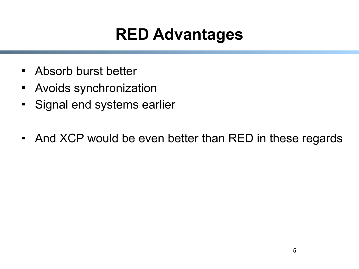#### **RED Advantages**

- Absorb burst better
- Avoids synchronization
- Signal end systems earlier
- And XCP would be even better than RED in these regards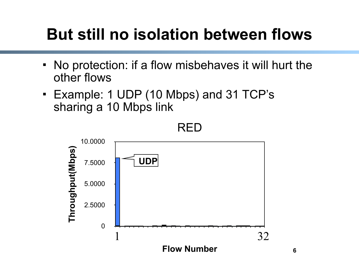## **But still no isolation between flows**

- No protection: if a flow misbehaves it will hurt the other flows
- Example: 1 UDP (10 Mbps) and 31 TCP's sharing a 10 Mbps link



RED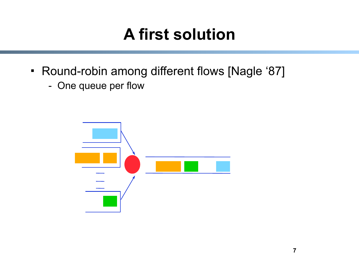## **A first solution**

- Round-robin among different flows [Nagle '87]
	- One queue per flow

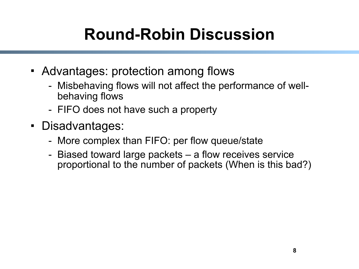## **Round-Robin Discussion**

- Advantages: protection among flows
	- Misbehaving flows will not affect the performance of wellbehaving flows
	- FIFO does not have such a property
- Disadvantages:
	- More complex than FIFO: per flow queue/state
	- Biased toward large packets a flow receives service proportional to the number of packets (When is this bad?)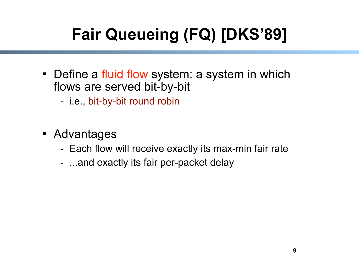## **Fair Queueing (FQ) [DKS'89]**

- Define a fluid flow system: a system in which flows are served bit-by-bit
	- i.e., bit-by-bit round robin
- Advantages
	- Each flow will receive exactly its max-min fair rate
	- ...and exactly its fair per-packet delay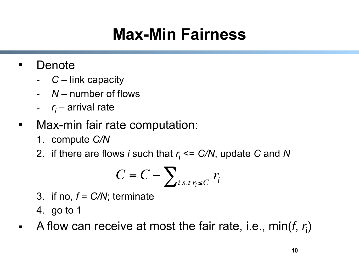## **Max-Min Fairness**

#### Denote

- *C* link capacity
- *N* number of flows
- *ri* – arrival rate
- Max-min fair rate computation:
	- 1. compute *C/N*
	- 2. if there are flows *i* such that  $r_i \leq C/N$ , update C and N

$$
C = C - \sum_{i \, s.t \, r_i \leq C} r_i
$$

- 3. if no,  $f = C/N$ ; terminate
- 4. go to 1
- A flow can receive at most the fair rate, i.e.,  $min(f, r_i)$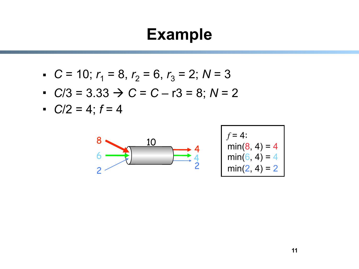#### **Example**

- $C = 10$ ;  $r_1 = 8$ ,  $r_2 = 6$ ,  $r_3 = 2$ ;  $N = 3$
- $\therefore$  *C*/3 = 3.33  $\rightarrow$  *C* = *C* r3 = 8; *N* = 2
- $C/2 = 4; f = 4$

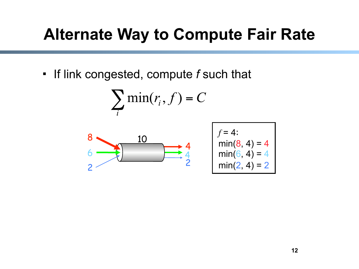#### **Alternate Way to Compute Fair Rate**

If link congested, compute *f* such that

$$
\sum_i \min(r_i, f) = C
$$



$$
f=4:\nmin(8, 4) = 4\nmin(6, 4) = 4\nmin(2, 4) = 2
$$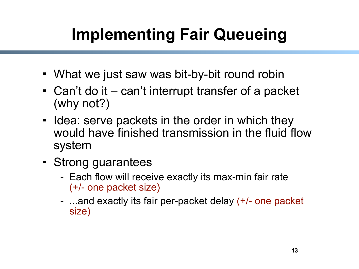## **Implementing Fair Queueing**

- What we just saw was bit-by-bit round robin
- Can't do it can't interrupt transfer of a packet (why not?)
- I Idea: serve packets in the order in which they would have finished transmission in the fluid flow system
- Strong guarantees
	- Each flow will receive exactly its max-min fair rate (+/- one packet size)
	- ...and exactly its fair per-packet delay (+/- one packet size)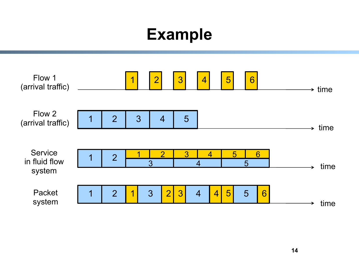#### **Example**

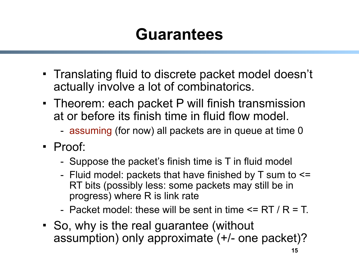#### **Guarantees**

- Translating fluid to discrete packet model doesn't actually involve a lot of combinatorics.
- Theorem: each packet P will finish transmission at or before its finish time in fluid flow model.
	- assuming (for now) all packets are in queue at time 0
- Proof:
	- Suppose the packet's finish time is T in fluid model
	- Fluid model: packets that have finished by  $T$  sum to  $\leq$ RT bits (possibly less: some packets may still be in progress) where R is link rate
	- Packet model: these will be sent in time  $\leq$  RT / R = T.
- So, why is the real guarantee (without assumption) only approximate (+/- one packet)?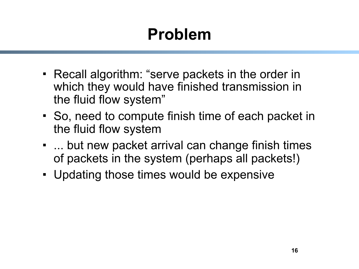## **Problem**

- Recall algorithm: "serve packets in the order in which they would have finished transmission in the fluid flow system"
- So, need to compute finish time of each packet in the fluid flow system
- ... but new packet arrival can change finish times of packets in the system (perhaps all packets!)
- Updating those times would be expensive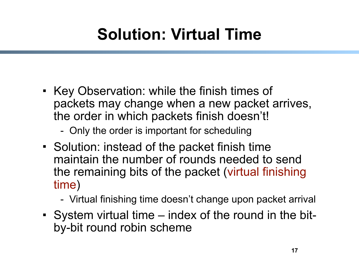## **Solution: Virtual Time**

- Key Observation: while the finish times of packets may change when a new packet arrives, the order in which packets finish doesn't!
	- Only the order is important for scheduling
- Solution: instead of the packet finish time maintain the number of rounds needed to send the remaining bits of the packet (virtual finishing time)
	- Virtual finishing time doesn't change upon packet arrival
- System virtual time index of the round in the bitby-bit round robin scheme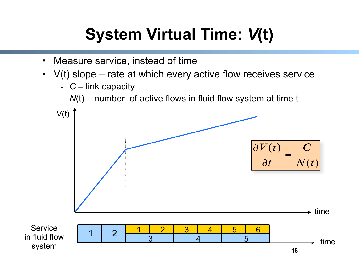## **System Virtual Time:** *V***(t)**

- Measure service, instead of time
- $\cdot$  V(t) slope rate at which every active flow receives service
	- *C* link capacity
	- *N*(t) number of active flows in fluid flow system at time t

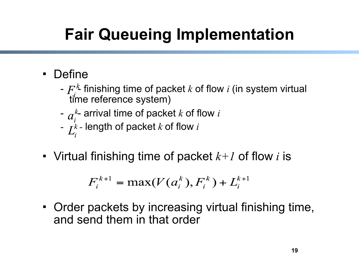## **Fair Queueing Implementation**

- Define
	- - finishing time of packet *k* of flow *i* (in system virtual time reference system)
	- $a_i^k$  arrival time of packet *k* of flow *i*
	- -length of packet *k* of flow *i*
- Virtual finishing time of packet *k+1* of flow *i* is

$$
F_i^{k+1} = \max(V(a_i^k), F_i^k) + L_i^{k+1}
$$

 Order packets by increasing virtual finishing time, and send them in that order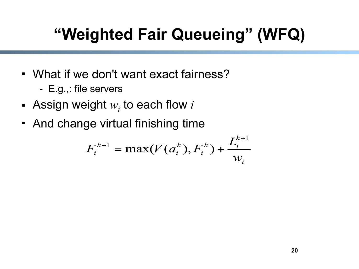## **"Weighted Fair Queueing" (WFQ)**

- What if we don't want exact fairness?
	- E.g.,: file servers
- Assign weight  $w_i$  to each flow  $i$
- And change virtual finishing time

$$
F_i^{k+1} = \max(V(a_i^k), F_i^k) + \frac{L_i^{k+1}}{w_i}
$$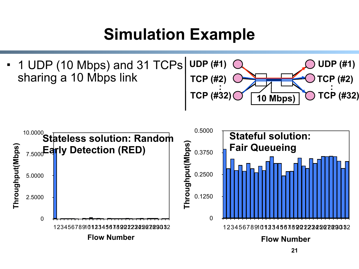#### **Simulation Example**

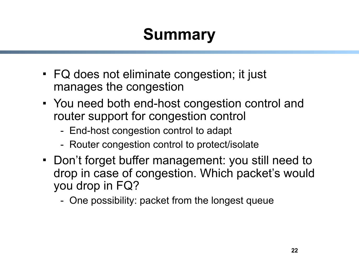## **Summary**

- FQ does not eliminate congestion; it just manages the congestion
- You need both end-host congestion control and router support for congestion control
	- End-host congestion control to adapt
	- Router congestion control to protect/isolate
- Don't forget buffer management: you still need to drop in case of congestion. Which packet's would you drop in FQ?
	- One possibility: packet from the longest queue